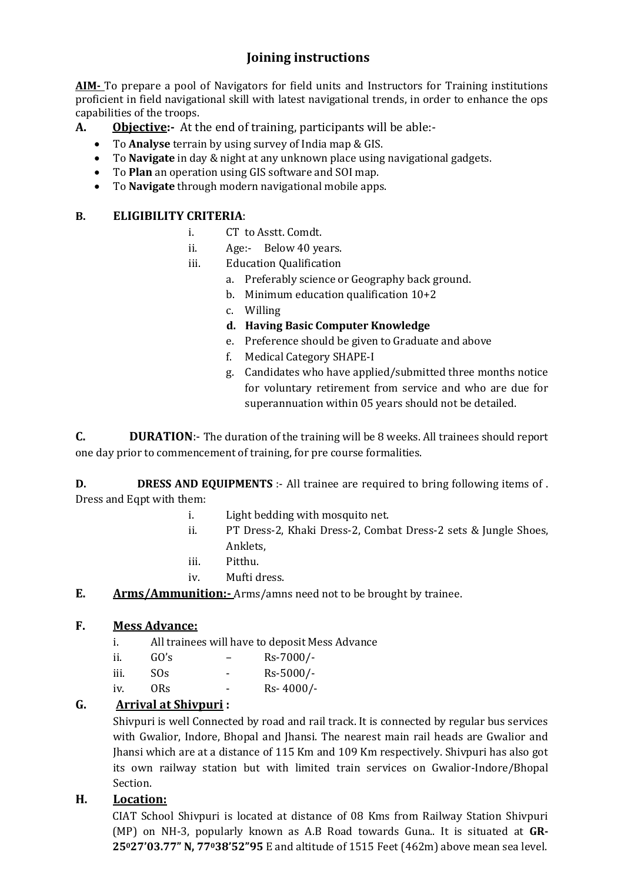# **Joining instructions**

**AIM-** To prepare a pool of Navigators for field units and Instructors for Training institutions proficient in field navigational skill with latest navigational trends, in order to enhance the ops capabilities of the troops.

- **A. Objective:-** At the end of training, participants will be able:-
	- To **Analyse** terrain by using survey of India map & GIS.
	- To **Navigate** in day & night at any unknown place using navigational gadgets.
	- To **Plan** an operation using GIS software and SOI map.
	- To **Navigate** through modern navigational mobile apps.

#### **B. ELIGIBILITY CRITERIA**:

- i. CT to Asstt. Comdt.
- ii. Age:- Below 40 years.
- iii. Education Qualification
	- a. Preferably science or Geography back ground.
	- b. Minimum education qualification 10+2
	- c. Willing
	- **d. Having Basic Computer Knowledge**
	- e. Preference should be given to Graduate and above
	- f. Medical Category SHAPE-I
	- g. Candidates who have applied/submitted three months notice for voluntary retirement from service and who are due for superannuation within 05 years should not be detailed.

**C. DURATION**:- The duration of the training will be 8 weeks. All trainees should report one day prior to commencement of training, for pre course formalities.

**D. DRESS AND EQUIPMENTS** :- All trainee are required to bring following items of . Dress and Eqpt with them:

- i. Light bedding with mosquito net.
- ii. PT Dress-2, Khaki Dress-2, Combat Dress-2 sets & Jungle Shoes, Anklets,
- iii. Pitthu.
- iv. Mufti dress.
- **E. Arms/Ammunition:-** Arms/amns need not to be brought by trainee.

#### **F. Mess Advance:**

- i. All trainees will have to deposit Mess Advance
- ii. GO's Rs-7000/ iii. SOs - Rs-5000/ iv. ORs - Rs- 4000/-

#### **G. Arrival at Shivpuri :**

Shivpuri is well Connected by road and rail track. It is connected by regular bus services with Gwalior, Indore, Bhopal and Jhansi. The nearest main rail heads are Gwalior and Jhansi which are at a distance of 115 Km and 109 Km respectively. Shivpuri has also got its own railway station but with limited train services on Gwalior-Indore/Bhopal Section.

#### **H. Location:**

CIAT School Shivpuri is located at distance of 08 Kms from Railway Station Shivpuri (MP) on NH-3, popularly known as A.B Road towards Guna.. It is situated at **GR-25027'03.77" N, 77038'52"95** E and altitude of 1515 Feet (462m) above mean sea level.